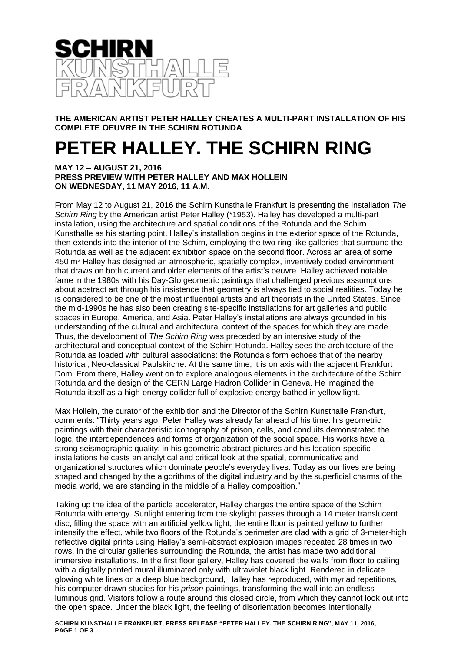

**THE AMERICAN ARTIST PETER HALLEY CREATES A MULTI-PART INSTALLATION OF HIS COMPLETE OEUVRE IN THE SCHIRN ROTUNDA**

## **PETER HALLEY. THE SCHIRN RING**

## **MAY 12 – AUGUST 21, 2016 PRESS PREVIEW WITH PETER HALLEY AND MAX HOLLEIN ON WEDNESDAY, 11 MAY 2016, 11 A.M.**

From May 12 to August 21, 2016 the Schirn Kunsthalle Frankfurt is presenting the installation *The Schirn Ring* by the American artist Peter Halley (\*1953). Halley has developed a multi-part installation, using the architecture and spatial conditions of the Rotunda and the Schirn Kunsthalle as his starting point. Halley's installation begins in the exterior space of the Rotunda, then extends into the interior of the Schirn, employing the two ring-like galleries that surround the Rotunda as well as the adjacent exhibition space on the second floor. Across an area of some 450 m² Halley has designed an atmospheric, spatially complex, inventively coded environment that draws on both current and older elements of the artist's oeuvre. Halley achieved notable fame in the 1980s with his Day-Glo geometric paintings that challenged previous assumptions about abstract art through his insistence that geometry is always tied to social realities. Today he is considered to be one of the most influential artists and art theorists in the United States. Since the mid-1990s he has also been creating site-specific installations for art galleries and public spaces in Europe, America, and Asia. Peter Halley's installations are always grounded in his understanding of the cultural and architectural context of the spaces for which they are made. Thus, the development of *The Schirn Ring* was preceded by an intensive study of the architectural and conceptual context of the Schirn Rotunda. Halley sees the architecture of the Rotunda as loaded with cultural associations: the Rotunda's form echoes that of the nearby historical, Neo-classical Paulskirche. At the same time, it is on axis with the adjacent Frankfurt Dom. From there, Halley went on to explore analogous elements in the architecture of the Schirn Rotunda and the design of the CERN Large Hadron Collider in Geneva. He imagined the Rotunda itself as a high-energy collider full of explosive energy bathed in yellow light.

Max Hollein, the curator of the exhibition and the Director of the Schirn Kunsthalle Frankfurt, comments: "Thirty years ago, Peter Halley was already far ahead of his time: his geometric paintings with their characteristic iconography of prison, cells, and conduits demonstrated the logic, the interdependences and forms of organization of the social space. His works have a strong seismographic quality: in his geometric-abstract pictures and his location-specific installations he casts an analytical and critical look at the spatial, communicative and organizational structures which dominate people's everyday lives. Today as our lives are being shaped and changed by the algorithms of the digital industry and by the superficial charms of the media world, we are standing in the middle of a Halley composition."

Taking up the idea of the particle accelerator, Halley charges the entire space of the Schirn Rotunda with energy. Sunlight entering from the skylight passes through a 14 meter translucent disc, filling the space with an artificial yellow light; the entire floor is painted yellow to further intensify the effect, while two floors of the Rotunda's perimeter are clad with a grid of 3-meter-high reflective digital prints using Halley's semi-abstract explosion images repeated 28 times in two rows. In the circular galleries surrounding the Rotunda, the artist has made two additional immersive installations. In the first floor gallery, Halley has covered the walls from floor to ceiling with a digitally printed mural illuminated only with ultraviolet black light. Rendered in delicate glowing white lines on a deep blue background, Halley has reproduced, with myriad repetitions, his computer-drawn studies for his *prison* paintings, transforming the wall into an endless luminous grid. Visitors follow a route around this closed circle, from which they cannot look out into the open space. Under the black light, the feeling of disorientation becomes intentionally

**SCHIRN KUNSTHALLE FRANKFURT, PRESS RELEASE "PETER HALLEY. THE SCHIRN RING", MAY 11, 2016, PAGE 1 OF 3**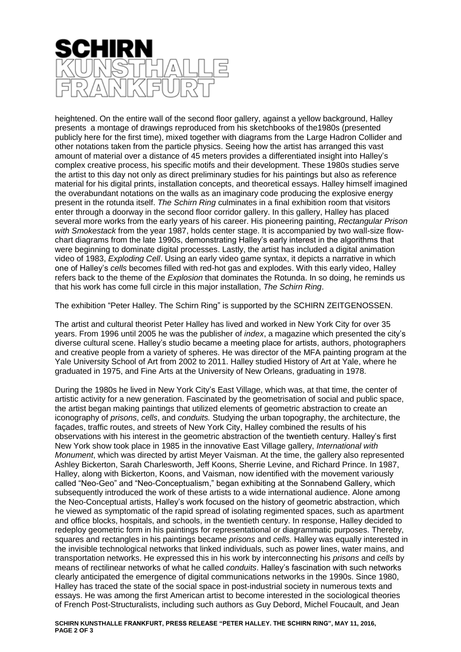

heightened. On the entire wall of the second floor gallery, against a yellow background, Halley presents a montage of drawings reproduced from his sketchbooks of the1980s (presented publicly here for the first time), mixed together with diagrams from the Large Hadron Collider and other notations taken from the particle physics. Seeing how the artist has arranged this vast amount of material over a distance of 45 meters provides a differentiated insight into Halley's complex creative process, his specific motifs and their development. These 1980s studies serve the artist to this day not only as direct preliminary studies for his paintings but also as reference material for his digital prints, installation concepts, and theoretical essays. Halley himself imagined the overabundant notations on the walls as an imaginary code producing the explosive energy present in the rotunda itself. *The Schirn Ring* culminates in a final exhibition room that visitors enter through a doorway in the second floor corridor gallery. In this gallery, Halley has placed several more works from the early years of his career. His pioneering painting, *Rectangular Prison with Smokestack* from the year 1987, holds center stage. It is accompanied by two wall-size flowchart diagrams from the late 1990s, demonstrating Halley's early interest in the algorithms that were beginning to dominate digital processes. Lastly, the artist has included a digital animation video of 1983, *Exploding Cell*. Using an early video game syntax, it depicts a narrative in which one of Halley's *cells* becomes filled with red-hot gas and explodes. With this early video, Halley refers back to the theme of the *Explosion* that dominates the Rotunda. In so doing, he reminds us that his work has come full circle in this major installation, *The Schirn Ring*.

The exhibition "Peter Halley. The Schirn Ring" is supported by the SCHIRN ZEITGENOSSEN.

The artist and cultural theorist Peter Halley has lived and worked in New York City for over 35 years. From 1996 until 2005 he was the publisher of *index*, a magazine which presented the city's diverse cultural scene. Halley's studio became a meeting place for artists, authors, photographers and creative people from a variety of spheres. He was director of the MFA painting program at the Yale University School of Art from 2002 to 2011. Halley studied History of Art at Yale, where he graduated in 1975, and Fine Arts at the University of New Orleans, graduating in 1978.

During the 1980s he lived in New York City's East Village, which was, at that time, the center of artistic activity for a new generation. Fascinated by the geometrisation of social and public space, the artist began making paintings that utilized elements of geometric abstraction to create an iconography of *prisons*, *cells*, and *conduits.* Studying the urban topography, the architecture, the façades, traffic routes, and streets of New York City, Halley combined the results of his observations with his interest in the geometric abstraction of the twentieth century. Halley's first New York show took place in 1985 in the innovative East Village gallery, *International with Monument*, which was directed by artist Meyer Vaisman. At the time, the gallery also represented Ashley Bickerton, Sarah Charlesworth, Jeff Koons, Sherrie Levine, and Richard Prince. In 1987, Halley, along with Bickerton, Koons, and Vaisman, now identified with the movement variously called "Neo-Geo" and "Neo-Conceptualism," began exhibiting at the Sonnabend Gallery, which subsequently introduced the work of these artists to a wide international audience. Alone among the Neo-Conceptual artists, Halley's work focused on the history of geometric abstraction, which he viewed as symptomatic of the rapid spread of isolating regimented spaces, such as apartment and office blocks, hospitals, and schools, in the twentieth century. In response, Halley decided to redeploy geometric form in his paintings for representational or diagrammatic purposes. Thereby, squares and rectangles in his paintings became *prisons* and *cells.* Halley was equally interested in the invisible technological networks that linked individuals, such as power lines, water mains, and transportation networks. He expressed this in his work by interconnecting his *prisons* and *cells* by means of rectilinear networks of what he called *conduits*. Halley's fascination with such networks clearly anticipated the emergence of digital communications networks in the 1990s. Since 1980, Halley has traced the state of the social space in post-industrial society in numerous texts and essays. He was among the first American artist to become interested in the sociological theories of French Post-Structuralists, including such authors as Guy Debord, Michel Foucault, and Jean